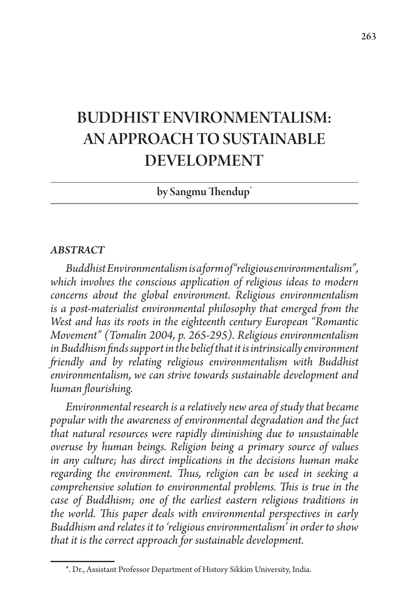# BUDDHIST ENVIRONMENTALISM: AN APPROACH TO SUSTAINABLE DEVELOPMENT

## by Sangmu Thendup<sup>\*</sup>

#### *ABSTRACT*

*Buddhist Environmentalism is a form of "religious environmentalism", which involves the conscious application of religious ideas to modern concerns about the global environment. Religious environmentalism is a post-materialist environmental philosophy that emerged from the West and has its roots in the eighteenth century European "Romantic Movement" (Tomalin 2004, p. 265-295). Religious environmentalism in Buddhism finds support in the belief that it is intrinsically environment friendly and by relating religious environmentalism with Buddhist environmentalism, we can strive towards sustainable development and human flourishing.* 

*Environmental research is a relatively new area of study that became popular with the awareness of environmental degradation and the fact that natural resources were rapidly diminishing due to unsustainable overuse by human beings. Religion being a primary source of values in any culture; has direct implications in the decisions human make regarding the environment. Thus, religion can be used in seeking a comprehensive solution to environmental problems. This is true in the case of Buddhism; one of the earliest eastern religious traditions in the world. This paper deals with environmental perspectives in early Buddhism and relates it to 'religious environmentalism' in order to show that it is the correct approach for sustainable development.* 

<sup>\*.</sup> Dr., Assistant Professor Department of History Sikkim University, India.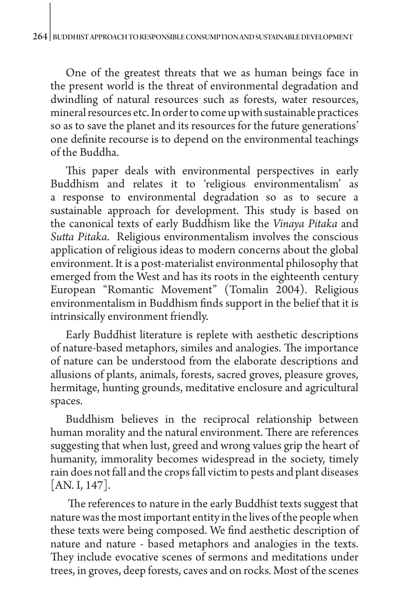One of the greatest threats that we as human beings face in the present world is the threat of environmental degradation and dwindling of natural resources such as forests, water resources, mineral resources etc. In order to come up with sustainable practices so as to save the planet and its resources for the future generations' one definite recourse is to depend on the environmental teachings of the Buddha.

This paper deals with environmental perspectives in early Buddhism and relates it to 'religious environmentalism' as a response to environmental degradation so as to secure a sustainable approach for development. This study is based on the canonical texts of early Buddhism like the *Vinaya Pitaka* and *Sutta Pitaka*. Religious environmentalism involves the conscious application of religious ideas to modern concerns about the global environment.It is a post-materialist environmental philosophy that emerged from the West and has its roots in the eighteenth century European "Romantic Movement" (Tomalin 2004). Religious environmentalism in Buddhism finds support in the belief that it is intrinsically environment friendly.

Early Buddhist literature is replete with aesthetic descriptions of nature-based metaphors, similes and analogies. The importance of nature can be understood from the elaborate descriptions and allusions of plants, animals, forests, sacred groves, pleasure groves, hermitage, hunting grounds, meditative enclosure and agricultural spaces.

Buddhism believes in the reciprocal relationship between human morality and the natural environment. There are references suggesting that when lust, greed and wrong values grip the heart of humanity, immorality becomes widespread in the society, timely rain does not fall and the crops fall victim to pests and plant diseases [AN. I, 147].

 The references to nature in the early Buddhist texts suggest that nature was the most important entity in the lives of the people when these texts were being composed. We find aesthetic description of nature and nature - based metaphors and analogies in the texts. They include evocative scenes of sermons and meditations under trees, in groves, deep forests, caves and on rocks*.* Most of the scenes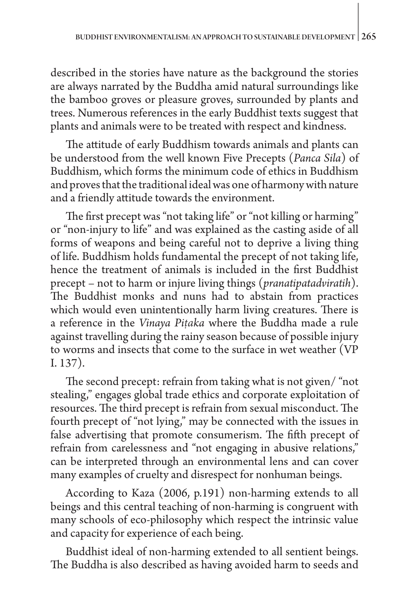described in the stories have nature as the background the stories are always narrated by the Buddha amid natural surroundings like the bamboo groves or pleasure groves, surrounded by plants and trees. Numerous references in the early Buddhist texts suggest that plants and animals were to be treated with respect and kindness.

The attitude of early Buddhism towards animals and plants can be understood from the well known Five Precepts (*Panca Sila*) of Buddhism, which forms the minimum code of ethics in Buddhism and proves that the traditional ideal was one of harmony with nature and a friendly attitude towards the environment.

The first precept was "not taking life" or "not killing or harming" or "non-injury to life" and was explained as the casting aside of all forms of weapons and being careful not to deprive a living thing of life. Buddhism holds fundamental the precept of not taking life, hence the treatment of animals is included in the first Buddhist precept – not to harm or injure living things (*pranatipatadviratih*). The Buddhist monks and nuns had to abstain from practices which would even unintentionally harm living creatures. There is a reference in the *Vinaya Piṭaka* where the Buddha made a rule against travelling during the rainy season because of possible injury to worms and insects that come to the surface in wet weather (VP I. 137).

The second precept: refrain from taking what is not given/ "not stealing," engages global trade ethics and corporate exploitation of resources. The third precept is refrain from sexual misconduct. The fourth precept of "not lying," may be connected with the issues in false advertising that promote consumerism. The fifth precept of refrain from carelessness and "not engaging in abusive relations," can be interpreted through an environmental lens and can cover many examples of cruelty and disrespect for nonhuman beings.

According to Kaza (2006, p.191) non-harming extends to all beings and this central teaching of non-harming is congruent with many schools of eco-philosophy which respect the intrinsic value and capacity for experience of each being.

Buddhist ideal of non-harming extended to all sentient beings. The Buddha is also described as having avoided harm to seeds and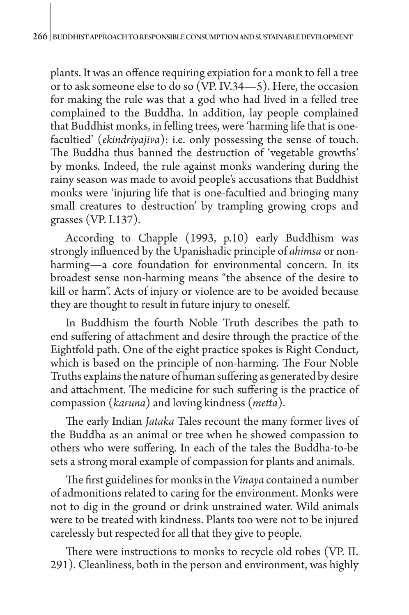plants. It was an offence requiring expiation for a monk to fell a tree or to ask someone else to do so (VP. IV.34—5). Here, the occasion for making the rule was that a god who had lived in a felled tree complained to the Buddha. In addition, lay people complained that Buddhist monks, in felling trees, were 'harming life that is onefacultied' (*ekindriyajiva*): i.e. only possessing the sense of touch. The Buddha thus banned the destruction of 'vegetable growths' by monks. Indeed, the rule against monks wandering during the rainy season was made to avoid people's accusations that Buddhist monks were 'injuring life that is one-facultied and bringing many small creatures to destruction' by trampling growing crops and grasses (VP. I.137).

According to Chapple (1993, p.10) early Buddhism was strongly influenced by the Upanishadic principle of *ahimsa* or nonharming—a core foundation for environmental concern. In its broadest sense non-harming means "the absence of the desire to kill or harm". Acts of injury or violence are to be avoided because they are thought to result in future injury to oneself.

In Buddhism the fourth Noble Truth describes the path to end suffering of attachment and desire through the practice of the Eightfold path. One of the eight practice spokes is Right Conduct, which is based on the principle of non-harming. The Four Noble Truths explains the nature of human suffering as generated by desire and attachment. The medicine for such suffering is the practice of compassion (*karuna*) and loving kindness (*metta*).

The early Indian *Jataka* Tales recount the many former lives of the Buddha as an animal or tree when he showed compassion to others who were suffering. In each of the tales the Buddha-to-be sets a strong moral example of compassion for plants and animals.

The first guidelines for monks in the *Vinaya* contained a number of admonitions related to caring for the environment. Monks were not to dig in the ground or drink unstrained water. Wild animals were to be treated with kindness. Plants too were not to be injured carelessly but respected for all that they give to people.

There were instructions to monks to recycle old robes (VP. II. 291). Cleanliness, both in the person and environment, was highly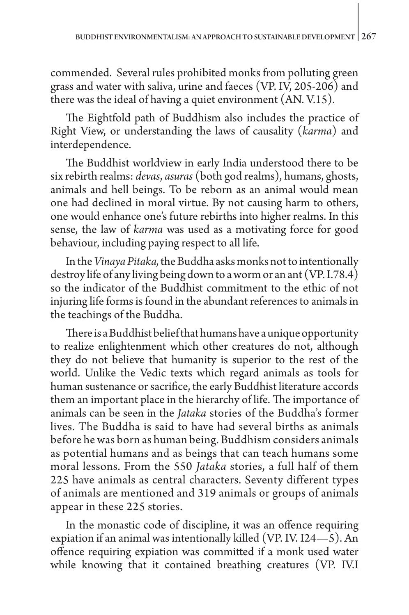commended. Several rules prohibited monks from polluting green grass and water with saliva, urine and faeces (VP. IV, 205-206) and there was the ideal of having a quiet environment (AN. V.15).

The Eightfold path of Buddhism also includes the practice of Right View, or understanding the laws of causality (*karma*) and interdependence.

The Buddhist worldview in early India understood there to be six rebirth realms: *devas*, *asuras* (both god realms), humans, ghosts, animals and hell beings. To be reborn as an animal would mean one had declined in moral virtue. By not causing harm to others, one would enhance one's future rebirths into higher realms. In this sense, the law of *karma* was used as a motivating force for good behaviour, including paying respect to all life.

In the *Vinaya Pitaka,* the Buddha asks monks not to intentionally destroy life of any living being down to a worm or an ant (VP. I.78.4) so the indicator of the Buddhist commitment to the ethic of not injuring life forms is found in the abundant references to animals in the teachings of the Buddha.

There is a Buddhist belief that humans have a unique opportunity to realize enlightenment which other creatures do not, although they do not believe that humanity is superior to the rest of the world. Unlike the Vedic texts which regard animals as tools for human sustenance or sacrifice, the early Buddhist literature accords them an important place in the hierarchy of life. The importance of animals can be seen in the *Jataka* stories of the Buddha's former lives. The Buddha is said to have had several births as animals before he was born as human being. Buddhism considers animals as potential humans and as beings that can teach humans some moral lessons. From the 550 *Jataka* stories, a full half of them 225 have animals as central characters. Seventy different types of animals are mentioned and 319 animals or groups of animals appear in these 225 stories.

In the monastic code of discipline, it was an offence requiring expiation if an animal was intentionally killed (VP. IV. I24—5). An offence requiring expiation was committed if a monk used water while knowing that it contained breathing creatures (VP. IV.I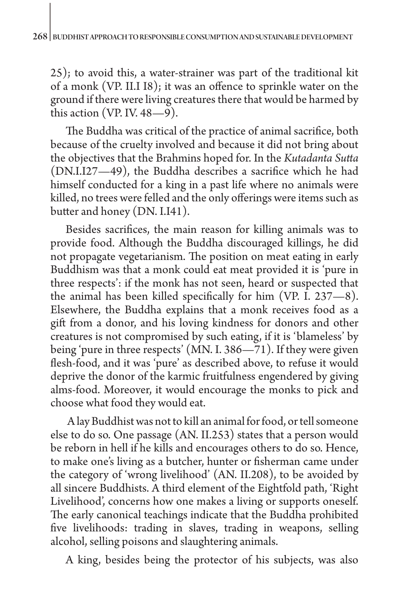25); to avoid this, a water-strainer was part of the traditional kit of a monk (VP. II.I I8); it was an offence to sprinkle water on the ground if there were living creatures there that would be harmed by this action (VP. IV.  $48-\frac{9}{9}$ ).

The Buddha was critical of the practice of animal sacrifice, both because of the cruelty involved and because it did not bring about the objectives that the Brahmins hoped for. In the *Kutadanta Sutta* (DN.I.I27—49), the Buddha describes a sacrifice which he had himself conducted for a king in a past life where no animals were killed, no trees were felled and the only offerings were items such as butter and honey (DN. I.I41).

Besides sacrifices, the main reason for killing animals was to provide food. Although the Buddha discouraged killings, he did not propagate vegetarianism. The position on meat eating in early Buddhism was that a monk could eat meat provided it is 'pure in three respects': if the monk has not seen, heard or suspected that the animal has been killed specifically for him (VP. I. 237—8). Elsewhere, the Buddha explains that a monk receives food as a gift from a donor, and his loving kindness for donors and other creatures is not compromised by such eating, if it is 'blameless' by being 'pure in three respects' (MN. I. 386—71). If they were given flesh-food, and it was 'pure' as described above, to refuse it would deprive the donor of the karmic fruitfulness engendered by giving alms-food. Moreover, it would encourage the monks to pick and choose what food they would eat.

 A lay Buddhist was not to kill an animal for food, or tell someone else to do so. One passage (AN. II.253) states that a person would be reborn in hell if he kills and encourages others to do so. Hence, to make one's living as a butcher, hunter or fisherman came under the category of 'wrong livelihood' (AN. II.208), to be avoided by all sincere Buddhists. A third element of the Eightfold path, 'Right Livelihood', concerns how one makes a living or supports oneself. The early canonical teachings indicate that the Buddha prohibited five livelihoods: trading in slaves, trading in weapons, selling alcohol, selling poisons and slaughtering animals.

A king, besides being the protector of his subjects, was also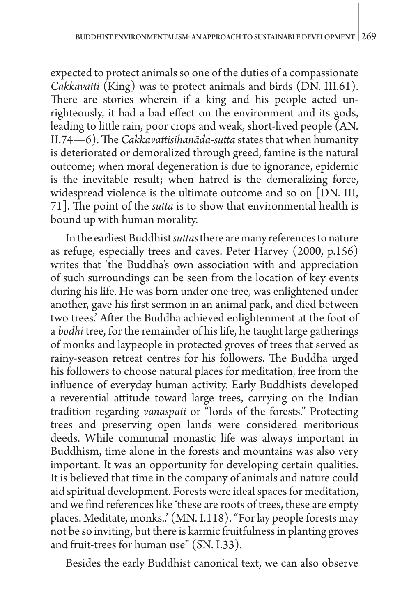expected to protect animals so one of the duties of a compassionate *Cakkavatti* (King) was to protect animals and birds (DN. III.61). There are stories wherein if a king and his people acted unrighteously, it had a bad effect on the environment and its gods, leading to little rain, poor crops and weak, short-lived people (AN. II.74—6). The *Cakkavattisihanāda-sutta* states that when humanity is deteriorated or demoralized through greed, famine is the natural outcome; when moral degeneration is due to ignorance, epidemic is the inevitable result; when hatred is the demoralizing force, widespread violence is the ultimate outcome and so on [DN. III, 71]. The point of the *sutta* is to show that environmental health is bound up with human morality.

In the earliest Buddhist *suttas* there are many references to nature as refuge, especially trees and caves. Peter Harvey (2000, p.156) writes that 'the Buddha's own association with and appreciation of such surroundings can be seen from the location of key events during his life. He was born under one tree, was enlightened under another, gave his first sermon in an animal park, and died between two trees.' After the Buddha achieved enlightenment at the foot of a *bodhi* tree, for the remainder of his life, he taught large gatherings of monks and laypeople in protected groves of trees that served as rainy-season retreat centres for his followers. The Buddha urged his followers to choose natural places for meditation, free from the influence of everyday human activity. Early Buddhists developed a reverential attitude toward large trees, carrying on the Indian tradition regarding *vanaspati* or "lords of the forests." Protecting trees and preserving open lands were considered meritorious deeds. While communal monastic life was always important in Buddhism, time alone in the forests and mountains was also very important. It was an opportunity for developing certain qualities. It is believed that time in the company of animals and nature could aid spiritual development. Forests were ideal spaces for meditation, and we find references like 'these are roots of trees, these are empty places. Meditate, monks..' (MN. I.118). "For lay people forests may not be so inviting, but there is karmic fruitfulness in planting groves and fruit-trees for human use" (SN. I.33).

Besides the early Buddhist canonical text, we can also observe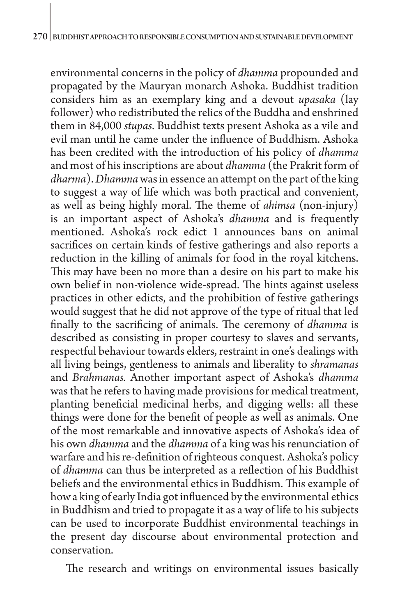environmental concerns in the policy of *dhamma* propounded and propagated by the Mauryan monarch Ashoka. Buddhist tradition considers him as an exemplary king and a devout *upasaka* (lay follower) who redistributed the relics of the Buddha and enshrined them in 84,000 *stupas*. Buddhist texts present Ashoka as a vile and evil man until he came under the influence of Buddhism. Ashoka has been credited with the introduction of his policy of *dhamma* and most of his inscriptions are about *dhamma* (the Prakrit form of *dharma*). *Dhamma* was in essence an attempt on the part of the king to suggest a way of life which was both practical and convenient, as well as being highly moral. The theme of *ahimsa* (non-injury) is an important aspect of Ashoka's *dhamma* and is frequently mentioned. Ashoka's rock edict 1 announces bans on animal sacrifices on certain kinds of festive gatherings and also reports a reduction in the killing of animals for food in the royal kitchens. This may have been no more than a desire on his part to make his own belief in non-violence wide-spread. The hints against useless practices in other edicts, and the prohibition of festive gatherings would suggest that he did not approve of the type of ritual that led finally to the sacrificing of animals. The ceremony of *dhamma* is described as consisting in proper courtesy to slaves and servants, respectful behaviour towards elders, restraint in one's dealings with all living beings, gentleness to animals and liberality to *shramanas* and *Brahmanas.* Another important aspect of Ashoka's *dhamma* was that he refers to having made provisions for medical treatment, planting beneficial medicinal herbs, and digging wells: all these things were done for the benefit of people as well as animals. One of the most remarkable and innovative aspects of Ashoka's idea of his own *dhamma* and the *dhamma* of a king was his renunciation of warfare and his re-definition of righteous conquest. Ashoka's policy of *dhamma* can thus be interpreted as a reflection of his Buddhist beliefs and the environmental ethics in Buddhism. This example of how a king of early India got influenced by the environmental ethics in Buddhism and tried to propagate it as a way of life to his subjects can be used to incorporate Buddhist environmental teachings in the present day discourse about environmental protection and conservation.

The research and writings on environmental issues basically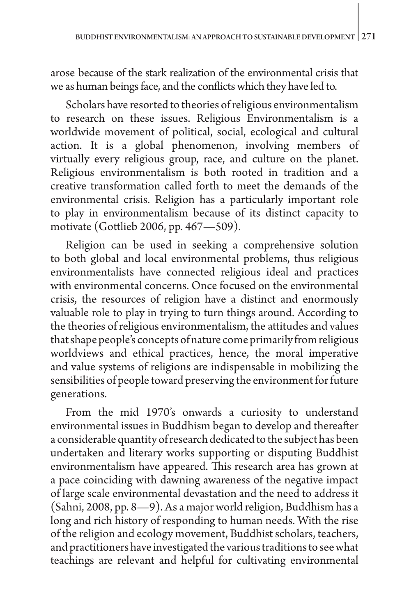arose because of the stark realization of the environmental crisis that we as human beings face, and the conflicts which they have led to.

Scholars have resorted to theories of religious environmentalism to research on these issues. Religious Environmentalism is a worldwide movement of political, social, ecological and cultural action. It is a global phenomenon, involving members of virtually every religious group, race, and culture on the planet. Religious environmentalism is both rooted in tradition and a creative transformation called forth to meet the demands of the environmental crisis. Religion has a particularly important role to play in environmentalism because of its distinct capacity to motivate (Gottlieb 2006, pp. 467—509).

Religion can be used in seeking a comprehensive solution to both global and local environmental problems, thus religious environmentalists have connected religious ideal and practices with environmental concerns. Once focused on the environmental crisis, the resources of religion have a distinct and enormously valuable role to play in trying to turn things around. According to the theories of religious environmentalism, the attitudes and values that shape people's concepts of nature come primarily from religious worldviews and ethical practices, hence, the moral imperative and value systems of religions are indispensable in mobilizing the sensibilities of people toward preserving the environment for future generations.

From the mid 1970's onwards a curiosity to understand environmental issues in Buddhism began to develop and thereafter a considerable quantity of research dedicated to the subject has been undertaken and literary works supporting or disputing Buddhist environmentalism have appeared. This research area has grown at a pace coinciding with dawning awareness of the negative impact of large scale environmental devastation and the need to address it (Sahni, 2008, pp. 8—9). As a major world religion, Buddhism has a long and rich history of responding to human needs. With the rise of the religion and ecology movement, Buddhist scholars, teachers, and practitioners have investigated the various traditions to see what teachings are relevant and helpful for cultivating environmental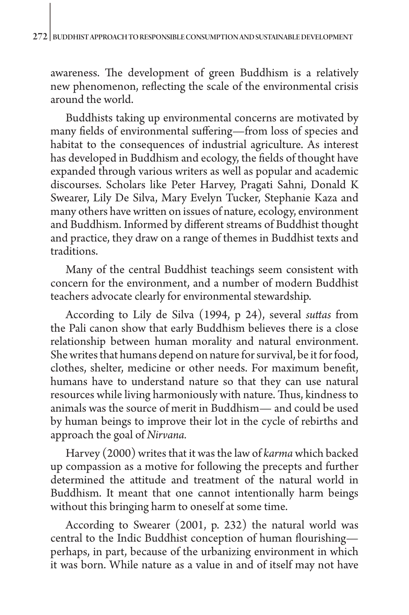awareness. The development of green Buddhism is a relatively new phenomenon, reflecting the scale of the environmental crisis around the world.

Buddhists taking up environmental concerns are motivated by many fields of environmental suffering—from loss of species and habitat to the consequences of industrial agriculture. As interest has developed in Buddhism and ecology, the fields of thought have expanded through various writers as well as popular and academic discourses. Scholars like Peter Harvey, Pragati Sahni, Donald K Swearer, Lily De Silva, Mary Evelyn Tucker, Stephanie Kaza and many others have written on issues of nature, ecology, environment and Buddhism. Informed by different streams of Buddhist thought and practice, they draw on a range of themes in Buddhist texts and traditions.

Many of the central Buddhist teachings seem consistent with concern for the environment, and a number of modern Buddhist teachers advocate clearly for environmental stewardship.

According to Lily de Silva (1994, p 24), several *suttas* from the Pali canon show that early Buddhism believes there is a close relationship between human morality and natural environment. She writes that humans depend on nature for survival, be it for food, clothes, shelter, medicine or other needs. For maximum benefit, humans have to understand nature so that they can use natural resources while living harmoniously with nature. Thus, kindness to animals was the source of merit in Buddhism— and could be used by human beings to improve their lot in the cycle of rebirths and approach the goal of *Nirvana.* 

Harvey (2000) writes that it was the law of *karma* which backed up compassion as a motive for following the precepts and further determined the attitude and treatment of the natural world in Buddhism. It meant that one cannot intentionally harm beings without this bringing harm to oneself at some time.

According to Swearer (2001, p. 232) the natural world was central to the Indic Buddhist conception of human flourishing perhaps, in part, because of the urbanizing environment in which it was born. While nature as a value in and of itself may not have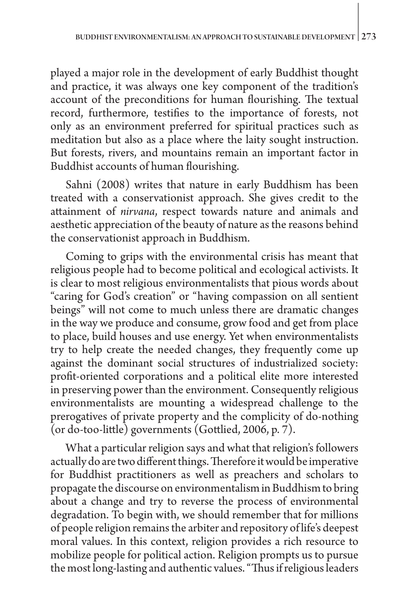played a major role in the development of early Buddhist thought and practice, it was always one key component of the tradition's account of the preconditions for human flourishing. The textual record, furthermore, testifies to the importance of forests, not only as an environment preferred for spiritual practices such as meditation but also as a place where the laity sought instruction. But forests, rivers, and mountains remain an important factor in Buddhist accounts of human flourishing.

Sahni (2008) writes that nature in early Buddhism has been treated with a conservationist approach. She gives credit to the attainment of *nirvana*, respect towards nature and animals and aesthetic appreciation of the beauty of nature as the reasons behind the conservationist approach in Buddhism.

Coming to grips with the environmental crisis has meant that religious people had to become political and ecological activists. It is clear to most religious environmentalists that pious words about "caring for God's creation" or "having compassion on all sentient beings" will not come to much unless there are dramatic changes in the way we produce and consume, grow food and get from place to place, build houses and use energy. Yet when environmentalists try to help create the needed changes, they frequently come up against the dominant social structures of industrialized society: profit-oriented corporations and a political elite more interested in preserving power than the environment. Consequently religious environmentalists are mounting a widespread challenge to the prerogatives of private property and the complicity of do-nothing (or do-too-little) governments (Gottlied, 2006, p. 7).

What a particular religion says and what that religion's followers actually do are two different things. Therefore it would be imperative for Buddhist practitioners as well as preachers and scholars to propagate the discourse on environmentalism in Buddhism to bring about a change and try to reverse the process of environmental degradation. To begin with, we should remember that for millions of people religion remains the arbiter and repository of life's deepest moral values. In this context, religion provides a rich resource to mobilize people for political action. Religion prompts us to pursue the most long-lasting and authentic values. "Thus if religious leaders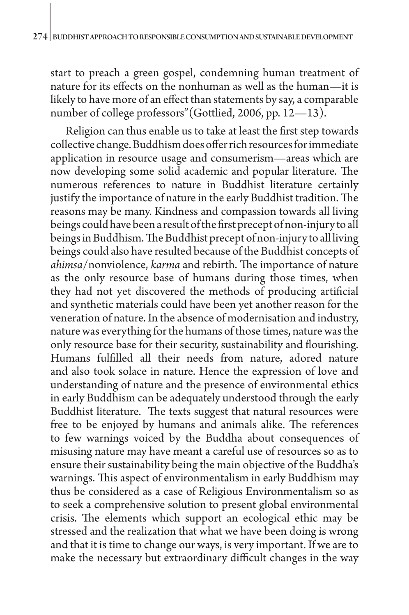start to preach a green gospel, condemning human treatment of nature for its effects on the nonhuman as well as the human—it is likely to have more of an effect than statements by say, a comparable number of college professors"(Gottlied, 2006, pp. 12—13).

Religion can thus enable us to take at least the first step towards collective change. Buddhism does offer rich resources for immediate application in resource usage and consumerism—areas which are now developing some solid academic and popular literature. The numerous references to nature in Buddhist literature certainly justify the importance of nature in the early Buddhist tradition. The reasons may be many. Kindness and compassion towards all living beings could have been a result of the first precept of non-injury to all beings in Buddhism. The Buddhist precept of non-injury to all living beings could also have resulted because of the Buddhist concepts of *ahimsa*/nonviolence, *karma* and rebirth. The importance of nature as the only resource base of humans during those times, when they had not yet discovered the methods of producing artificial and synthetic materials could have been yet another reason for the veneration of nature. In the absence of modernisation and industry, nature was everything for the humans of those times, nature was the only resource base for their security, sustainability and flourishing. Humans fulfilled all their needs from nature, adored nature and also took solace in nature. Hence the expression of love and understanding of nature and the presence of environmental ethics in early Buddhism can be adequately understood through the early Buddhist literature. The texts suggest that natural resources were free to be enjoyed by humans and animals alike. The references to few warnings voiced by the Buddha about consequences of misusing nature may have meant a careful use of resources so as to ensure their sustainability being the main objective of the Buddha's warnings. This aspect of environmentalism in early Buddhism may thus be considered as a case of Religious Environmentalism so as to seek a comprehensive solution to present global environmental crisis. The elements which support an ecological ethic may be stressed and the realization that what we have been doing is wrong and that it is time to change our ways, is very important. If we are to make the necessary but extraordinary difficult changes in the way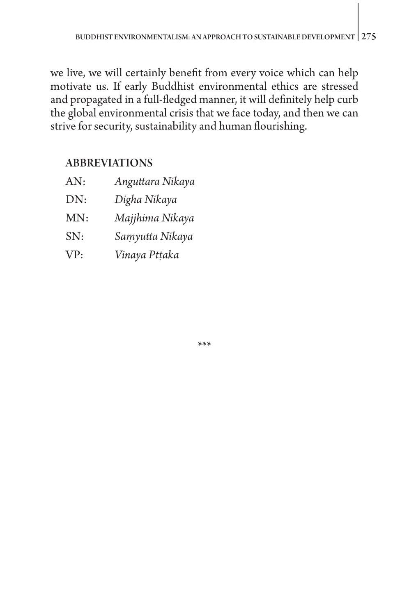we live, we will certainly benefit from every voice which can help motivate us. If early Buddhist environmental ethics are stressed and propagated in a full-fledged manner, it will definitely help curb the global environmental crisis that we face today, and then we can strive for security, sustainability and human flourishing.

# ABBREVIATIONS

AN: *Anguttara Nikaya* DN: *Digha Nikaya*  MN: *Majjhima Nikaya* SN: *Saṃyutta Nikaya* VP: *Vinaya Ptṭaka* 

\*\*\*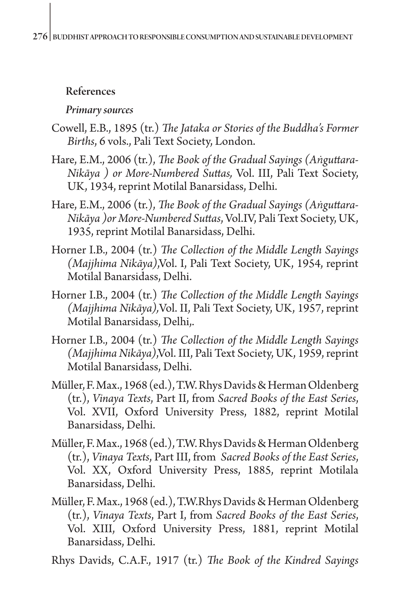# References

## *Primary sources*

- Cowell, E.B., 1895 (tr.) *The Jataka or Stories of the Buddha's Former Births*, 6 vols., Pali Text Society, London.
- Hare, E.M., 2006 (tr.), *The Book of the Gradual Sayings (Aṅguttara-Nikāya ) or More-Numbered Suttas,* Vol. III, Pali Text Society, UK, 1934, reprint Motilal Banarsidass, Delhi.
- Hare, E.M., 2006 (tr.), *The Book of the Gradual Sayings (Aṅguttara-Nikāya )or More-Numbered Suttas*, Vol.IV, Pali Text Society, UK, 1935, reprint Motilal Banarsidass, Delhi.
- Horner I.B., 2004 (tr.) *The Collection of the Middle Length Sayings (Majjhima Nikāya)*,Vol. I, Pali Text Society, UK, 1954, reprint Motilal Banarsidass, Delhi.
- Horner I.B., 2004 (tr.) *The Collection of the Middle Length Sayings (Majjhima Nikāya),*Vol. II, Pali Text Society, UK, 1957, reprint Motilal Banarsidass, Delhi,.
- Horner I.B., 2004 (tr.) *The Collection of the Middle Length Sayings (Majjhima Nikāya)*,Vol. III, Pali Text Society, UK, 1959, reprint Motilal Banarsidass, Delhi.
- Müller, F. Max., 1968 (ed.), T.W. Rhys Davids & Herman Oldenberg (tr.), *Vinaya Texts*, Part II, from *Sacred Books of the East Series*, Vol. XVII, Oxford University Press, 1882, reprint Motilal Banarsidass, Delhi.
- Müller, F. Max., 1968 (ed.), T.W. Rhys Davids & Herman Oldenberg (tr.), *Vinaya Texts*, Part III, from *Sacred Books of the East Series*, Vol. XX, Oxford University Press, 1885, reprint Motilala Banarsidass, Delhi.
- Müller, F. Max., 1968 (ed.), T.W.Rhys Davids & Herman Oldenberg (tr.), *Vinaya Texts*, Part I, from *Sacred Books of the East Series*, Vol. XIII, Oxford University Press, 1881, reprint Motilal Banarsidass, Delhi.

Rhys Davids, C.A.F., 1917 (tr.) *The Book of the Kindred Sayings*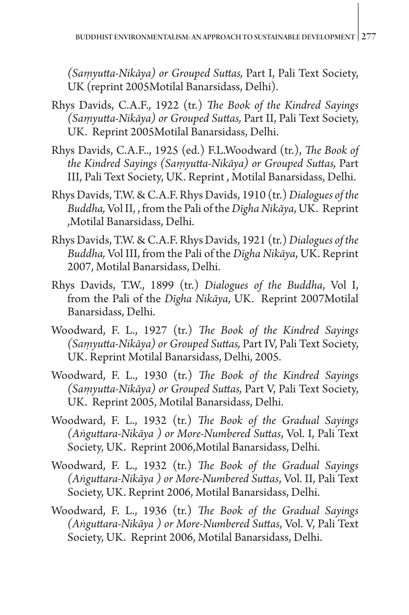*(Saṃyutta-Nikāya) or Grouped Suttas,* Part I, Pali Text Society, UK (reprint 2005Motilal Banarsidass, Delhi).

- Rhys Davids, C.A.F., 1922 (tr.) *The Book of the Kindred Sayings (Saṃyutta-Nikāya) or Grouped Suttas,* Part II, Pali Text Society, UK. Reprint 2005Motilal Banarsidass, Delhi.
- Rhys Davids, C.A.F.., 1925 (ed.) F.L.Woodward (tr.), *The Book of the Kindred Sayings (Saṃyutta-Nikāya) or Grouped Suttas,* Part III, Pali Text Society, UK. Reprint , Motilal Banarsidass, Delhi.
- Rhys Davids, T.W. & C.A.F. Rhys Davids, 1910 (tr.) *Dialogues of the Buddha,* Vol II, , from the Pali of the *Dīgha Nikāya*, UK. Reprint ,Motilal Banarsidass, Delhi.
- Rhys Davids, T.W. & C.A.F. Rhys Davids, 1921 (tr.) *Dialogues of the Buddha,* Vol III, from the Pali of the *Dīgha Nikāya*, UK. Reprint 2007, Motilal Banarsidass, Delhi.
- Rhys Davids, T.W., 1899 (tr.) *Dialogues of the Buddha*, Vol I, from the Pali of the *Dīgha Nikāya*, UK. Reprint 2007Motilal Banarsidass, Delhi.
- Woodward, F. L., 1927 (tr.) *The Book of the Kindred Sayings (Saṃyutta-Nikāya) or Grouped Suttas,* Part IV, Pali Text Society, UK. Reprint Motilal Banarsidass, Delhi, 2005.
- Woodward, F. L., 1930 (tr.) *The Book of the Kindred Sayings (Saṃyutta-Nikāya) or Grouped Suttas,* Part V, Pali Text Society, UK. Reprint 2005, Motilal Banarsidass, Delhi.
- Woodward, F. L., 1932 (tr.) *The Book of the Gradual Sayings (Aṅguttara-Nikāya ) or More-Numbered Suttas*, Vol. I, Pali Text Society, UK. Reprint 2006,Motilal Banarsidass, Delhi.
- Woodward, F. L., 1932 (tr.) *The Book of the Gradual Sayings (Aṅguttara-Nikāya ) or More-Numbered Suttas*, Vol. II, Pali Text Society, UK. Reprint 2006, Motilal Banarsidass, Delhi.
- Woodward, F. L., 1936 (tr.) *The Book of the Gradual Sayings (Aṅguttara-Nikāya ) or More-Numbered Suttas*, Vol. V, Pali Text Society, UK. Reprint 2006, Motilal Banarsidass, Delhi.